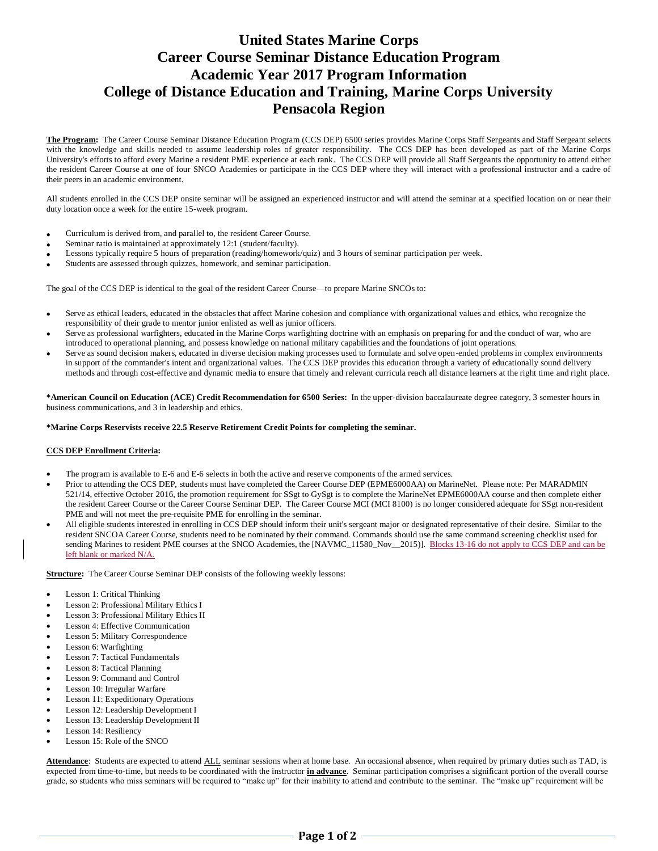# **United States Marine Corps Career Course Seminar Distance Education Program Academic Year 2017 Program Information College of Distance Education and Training, Marine Corps University Pensacola Region**

**The Program:** The Career Course Seminar Distance Education Program (CCS DEP) 6500 series provides Marine Corps Staff Sergeants and Staff Sergeant selects with the knowledge and skills needed to assume leadership roles of greater responsibility. The CCS DEP has been developed as part of the Marine Corps University's efforts to afford every Marine a resident PME experience at each rank. The CCS DEP will provide all Staff Sergeants the opportunity to attend either the resident Career Course at one of four SNCO Academies or participate in the CCS DEP where they will interact with a professional instructor and a cadre of their peers in an academic environment.

All students enrolled in the CCS DEP onsite seminar will be assigned an experienced instructor and will attend the seminar at a specified location on or near their duty location once a week for the entire 15-week program.

- Curriculum is derived from, and parallel to, the resident Career Course.
- Seminar ratio is maintained at approximately 12:1 (student/faculty).
- Lessons typically require 5 hours of preparation (reading/homework/quiz) and 3 hours of seminar participation per week.
- Students are assessed through quizzes, homework, and seminar participation.

The goal of the CCS DEP is identical to the goal of the resident Career Course—to prepare Marine SNCOs to:

- Serve as ethical leaders, educated in the obstacles that affect Marine cohesion and compliance with organizational values and ethics, who recognize the responsibility of their grade to mentor junior enlisted as well as junior officers.
- Serve as professional warfighters, educated in the Marine Corps warfighting doctrine with an emphasis on preparing for and the conduct of war, who are introduced to operational planning, and possess knowledge on national military capabilities and the foundations of joint operations.
- Serve as sound decision makers, educated in diverse decision making processes used to formulate and solve open-ended problems in complex environments in support of the commander's intent and organizational values. The CCS DEP provides this education through a variety of educationally sound delivery methods and through cost-effective and dynamic media to ensure that timely and relevant curricula reach all distance learners at the right time and right place.

**\*American Council on Education (ACE) Credit Recommendation for 6500 Series:** In the upper-division baccalaureate degree category, 3 semester hours in business communications, and 3 in leadership and ethics.

#### **\*Marine Corps Reservists receive 22.5 Reserve Retirement Credit Points for completing the seminar.**

#### **CCS DEP Enrollment Criteria:**

- The program is available to E-6 and E-6 selects in both the active and reserve components of the armed services.
- Prior to attending the CCS DEP, students must have completed the Career Course DEP (EPME6000AA) on MarineNet. Please note: Per MARADMIN 521/14, effective October 2016, the promotion requirement for SSgt to GySgt is to complete the MarineNet EPME6000AA course and then complete either the resident Career Course or the Career Course Seminar DEP. The Career Course MCI (MCI 8100) is no longer considered adequate for SSgt non-resident PME and will not meet the pre-requisite PME for enrolling in the seminar.
- All eligible students interested in enrolling in CCS DEP should inform their unit's sergeant major or designated representative of their desire. Similar to the resident SNCOA Career Course, students need to be nominated by their command. Commands should use the same command screening checklist used for sending Marines to resident PME courses at the SNCO Academies, the [NAVMC\_11580\_Nov\_2015)]. Blocks 13-16 do not apply to CCS DEP and can be left blank or marked N/A.

**Structure:** The Career Course Seminar DEP consists of the following weekly lessons:

- Lesson 1: Critical Thinking
- Lesson 2: Professional Military Ethics I
- Lesson 3: Professional Military Ethics II
- Lesson 4: Effective Communication
- Lesson 5: Military Correspondence
- Lesson 6: Warfighting
- Lesson 7: Tactical Fundamentals
- Lesson 8: Tactical Planning
- Lesson 9: Command and Control
- Lesson 10: Irregular Warfare
- Lesson 11: Expeditionary Operations
- Lesson 12: Leadership Development I
- Lesson 13: Leadership Development II
- Lesson 14: Resiliency
- Lesson 15: Role of the SNCO

**Attendance**: Students are expected to attend ALL seminar sessions when at home base. An occasional absence, when required by primary duties such as TAD, is expected from time-to-time, but needs to be coordinated with the instructor **in advance**. Seminar participation comprises a significant portion of the overall course grade, so students who miss seminars will be required to "make up" for their inability to attend and contribute to the seminar. The "make up" requirement will be